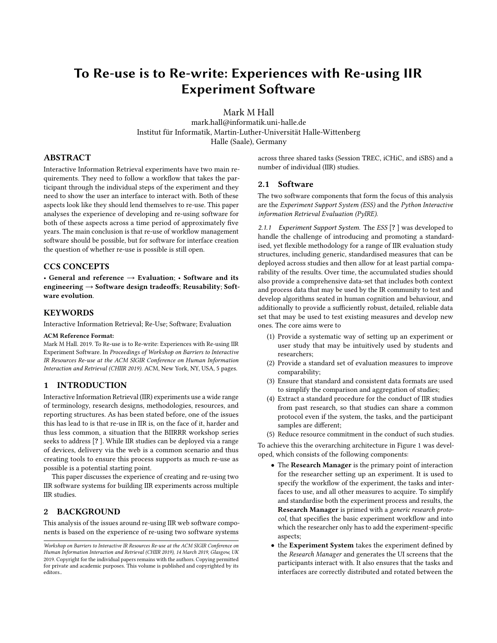# To Re-use is to Re-write: Experiences with Re-using IIR Experiment Software

Mark M Hall

mark.hall@informatik.uni-halle.de Institut für Informatik, Martin-Luther-Universität Halle-Wittenberg Halle (Saale), Germany

# ABSTRACT

Interactive Information Retrieval experiments have two main requirements. They need to follow a workflow that takes the participant through the individual steps of the experiment and they need to show the user an interface to interact with. Both of these aspects look like they should lend themselves to re-use. This paper analyses the experience of developing and re-using software for both of these aspects across a time period of approximately five years. The main conclusion is that re-use of workflow management software should be possible, but for software for interface creation the question of whether re-use is possible is still open.

# CCS CONCEPTS

• General and reference  $\rightarrow$  Evaluation; • Software and its engineering  $\rightarrow$  Software design tradeoffs; Reusability; Software evolution.

# **KEYWORDS**

Interactive Information Retrieval; Re-Use; Software; Evaluation

#### ACM Reference Format:

Mark M Hall. 2019. To Re-use is to Re-write: Experiences with Re-using IIR Experiment Software. In Proceedings of Workshop on Barriers to Interactive IR Resources Re-use at the ACM SIGIR Conference on Human Information Interaction and Retrieval (CHIIR 2019). ACM, New York, NY, USA, [5](#page-4-0) pages.

#### 1 INTRODUCTION

Interactive Information Retrieval (IIR) experiments use a wide range of terminology, research designs, methodologies, resources, and reporting structures. As has been stated before, one of the issues this has lead to is that re-use in IIR is, on the face of it, harder and thus less common, a situation that the BIIRRR workshop series seeks to address [? ]. While IIR studies can be deployed via a range of devices, delivery via the web is a common scenario and thus creating tools to ensure this process supports as much re-use as possible is a potential starting point.

This paper discusses the experience of creating and re-using two IIR software systems for building IIR experiments across multiple IIR studies.

# 2 BACKGROUND

This analysis of the issues around re-using IIR web software components is based on the experience of re-using two software systems

across three shared tasks (Session TREC, iCHiC, and iSBS) and a number of individual (IIR) studies.

#### 2.1 Software

The two software components that form the focus of this analysis are the Experiment Support System (ESS) and the Python Interactive information Retrieval Evaluation (PyIRE).

2.1.1 Experiment Support System. The ESS [? ] was developed to handle the challenge of introducing and promoting a standardised, yet flexible methodology for a range of IIR evaluation study structures, including generic, standardised measures that can be deployed across studies and then allow for at least partial comparability of the results. Over time, the accumulated studies should also provide a comprehensive data-set that includes both context and process data that may be used by the IR community to test and develop algorithms seated in human cognition and behaviour, and additionally to provide a sufficiently robust, detailed, reliable data set that may be used to test existing measures and develop new ones. The core aims were to

- (1) Provide a systematic way of setting up an experiment or user study that may be intuitively used by students and researchers;
- (2) Provide a standard set of evaluation measures to improve comparability;
- (3) Ensure that standard and consistent data formats are used to simplify the comparison and aggregation of studies;
- (4) Extract a standard procedure for the conduct of IIR studies from past research, so that studies can share a common protocol even if the system, the tasks, and the participant samples are different;
- (5) Reduce resource commitment in the conduct of such studies.

To achieve this the overarching architecture in Figure [1](#page-1-0) was developed, which consists of the following components:

- The Research Manager is the primary point of interaction for the researcher setting up an experiment. It is used to specify the workflow of the experiment, the tasks and interfaces to use, and all other measures to acquire. To simplify and standardise both the experiment process and results, the Research Manager is primed with a generic research protocol, that specifies the basic experiment workflow and into which the researcher only has to add the experiment-specific aspects;
- the Experiment System takes the experiment defined by the Research Manager and generates the UI screens that the participants interact with. It also ensures that the tasks and interfaces are correctly distributed and rotated between the

Workshop on Barriers to Interactive IR Resources Re-use at the ACM SIGIR Conference on Human Information Interaction and Retrieval (CHIIR 2019), 14 March 2019, Glasgow, UK 2019. Copyright for the individual papers remains with the authors. Copying permitted for private and academic purposes. This volume is published and copyrighted by its editors..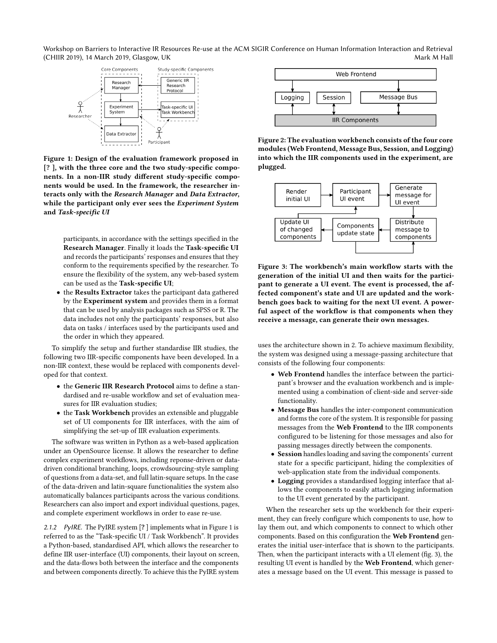<span id="page-1-0"></span>Workshop on Barriers to Interactive IR Resources Re-use at the ACM SIGIR Conference on Human Information Interaction and Retrieval (CHIIR 2019), 14 March 2019, Glasgow, UK and the control of the control of the control of the control of the control of the control of the control of the control of the control of the control of the control of the control



Figure 1: Design of the evaluation framework proposed in [? ], with the three core and the two study-specific components. In a non-IIR study different study-specific components would be used. In the framework, the researcher interacts only with the Research Manager and Data Extractor, while the participant only ever sees the Experiment System and Task-specific UI

participants, in accordance with the settings specified in the Research Manager. Finally it loads the Task-specific UI and records the participants' responses and ensures that they conform to the requirements specified by the researcher. To ensure the flexibility of the system, any web-based system can be used as the Task-specific UI;

• the Results Extractor takes the participant data gathered by the Experiment system and provides them in a format that can be used by analysis packages such as SPSS or R. The data includes not only the participants' responses, but also data on tasks / interfaces used by the participants used and the order in which they appeared.

To simplify the setup and further standardise IIR studies, the following two IIR-specific components have been developed. In a non-IIR context, these would be replaced with components developed for that context.

- the Generic IIR Research Protocol aims to define a standardised and re-usable workflow and set of evaluation measures for IIR evaluation studies;
- the Task Workbench provides an extensible and pluggable set of UI components for IIR interfaces, with the aim of simplifying the set-up of IIR evaluation experiments.

The software was written in Python as a web-based application under an OpenSource license. It allows the researcher to define complex experiment workflows, including reponse-driven or datadriven conditional branching, loops, crowdsourcing-style sampling of questions from a data-set, and full latin-square setups. In the case of the data-driven and latin-square functionalities the system also automatically balances participants across the various conditions. Researchers can also import and export individual questions, pages, and complete experiment workflows in order to ease re-use.

2.1.2 PyIRE. The PyIRE system [? ] implements what in Figure [1](#page-1-0) is referred to as the "Task-specific UI / Task Workbench". It provides a Python-based, standardised API, which allows the researcher to define IIR user-interface (UI) components, their layout on screen, and the data-flows both between the interface and the components and between components directly. To achieve this the PyIRE system

<span id="page-1-1"></span>

Figure 2: The evaluation workbench consists of the four core modules (Web Frontend, Message Bus, Session, and Logging) into which the IIR components used in the experiment, are plugged.

<span id="page-1-2"></span>

Figure 3: The workbench's main workflow starts with the generation of the initial UI and then waits for the participant to generate a UI event. The event is processed, the affected component's state and UI are updated and the workbench goes back to waiting for the next UI event. A powerful aspect of the workflow is that components when they receive a message, can generate their own messages.

uses the architecture shown in [2.](#page-1-1) To achieve maximum flexibility, the system was designed using a message-passing architecture that consists of the following four components:

- Web Frontend handles the interface between the participant's browser and the evaluation workbench and is implemented using a combination of client-side and server-side functionality.
- Message Bus handles the inter-component communication and forms the core of the system. It is responsible for passing messages from the Web Frontend to the IIR components configured to be listening for those messages and also for passing messages directly between the components.
- Session handles loading and saving the components' current state for a specific participant, hiding the complexities of web-application state from the individual components.
- Logging provides a standardised logging interface that allows the components to easily attach logging information to the UI event generated by the participant.

When the researcher sets up the workbench for their experiment, they can freely configure which components to use, how to lay them out, and which components to connect to which other components. Based on this configuration the Web Frontend generates the initial user-interface that is shown to the participants. Then, when the participant interacts with a UI element (fig. [3\)](#page-1-2), the resulting UI event is handled by the Web Frontend, which generates a message based on the UI event. This message is passed to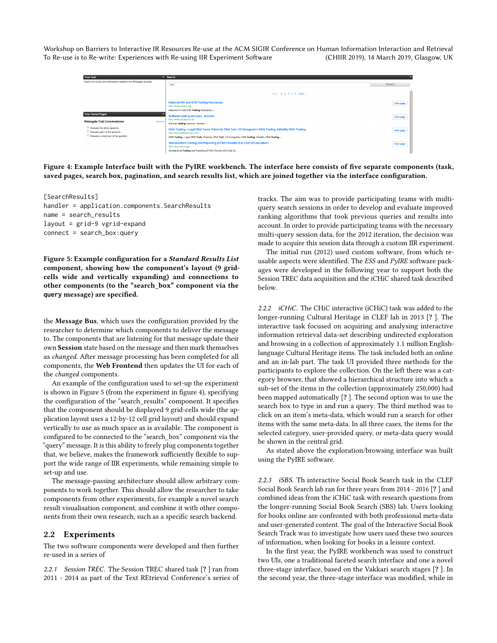<span id="page-2-1"></span>To Re-use is to Re-write: Experiences with Re-using IIR Experiment Software Workshop on Barriers to Interactive IR Resources Re-use at the ACM SIGIR Conference on Human Information Interaction and Retrieval (CHIIR 2019), 14 March 2019, Glasgow, UK



Figure 4: Example Interface built with the PyIRE workbench. The interface here consists of five separate components (task, saved pages, search box, pagination, and search results list, which are joined together via the interface configuration.

<span id="page-2-0"></span>[SearchResults] handler = application.components.SearchResults name = search\_results layout = grid-9 vgrid-expand connect = search\_box:query

Figure 5: Example configuration for a Standard Results List component, showing how the component's layout (9 gridcells wide and vertically expanding) and connections to other components (to the "search\_box" component via the **query** message) are specified.

the Message Bus, which uses the configuration provided by the researcher to determine which components to deliver the message to. The components that are listening for that message update their own Session state based on the message and then mark themselves as changed. After message processing has been completed for all components, the Web Frontend then updates the UI for each of the changed components.

An example of the configuration used to set-up the experiment is shown in Figure [5](#page-2-0) (from the experiment in figure [4\)](#page-2-1), specifying the configuration of the "search\_results" component. It specifies that the component should be displayed 9 grid-cells wide (the application layout uses a 12-by-12 cell grid layout) and should expand vertically to use as much space as is available. The component is configured to be connected to the "search\_box" component via the "query" message. It is this ability to freely plug components together that, we believe, makes the framework sufficiently flexible to support the wide range of IIR experiments, while remaining simple to set-up and use.

The message-passing architecture should allow arbitrary components to work together. This should allow the researcher to take components from other experiments, for example a novel search result visualisation component, and combine it with other components from their own research, such as a specific search backend.

## 2.2 Experiments

The two software components were developed and then further re-used in a series of

2.2.1 Session TREC. The Session TREC shared task [? ] ran from 2011 - 2014 as part of the Text REtrieval Conference's series of tracks. The aim was to provide participating teams with multiquery search sessions in order to develop and evaluate improved ranking algorithms that took previous queries and results into account. In order to provide participating teams with the necessary multi-query session data, for the 2012 iteration, the decision was made to acquire this session data through a custom IIR experiment.

The initial run (2012) used custom software, from which reusable aspects were identified. The ESS and PyIRE software packages were developed in the following year to support both the Session TREC data acquisition and the iCHiC shared task described below.

2.2.2 *iCHiC.* The CHiC interactive (iCHiC) task was added to the longer-running Cultural Heritage in CLEF lab in 2013 [? ]. The interactive task focused on acquiring and analysing interactive information retrieval data-set describing undirected exploration and browsing in a collection of approximately 1.1 million Englishlanguage Cultural Heritage items. The task included both an online and an in-lab part. The task UI provided three methods for the participants to explore the collection. On the left there was a category browser, that showed a hierarchical structure into which a sub-set of the items in the collection (approximately 250,000) had been mapped automatically [? ]. The second option was to use the search box to type in and run a query. The third method was to click on an item's meta-data, which would run a search for other items with the same meta-data. In all three cases, the items for the selected category, user-provided query, or meta-data query would be shown in the central grid.

As stated above the exploration/browsing interface was built using the PyIRE software.

2.2.3 iSBS. Th interactive Social Book Search task in the CLEF Social Book Search lab ran for three years from 2014 - 2016 [? ] and combined ideas from the iCHiC task with research questions from the longer-running Social Book Search (SBS) lab. Users looking for books online are confronted with both professional meta-data and user-generated content. The goal of the Interactive Social Book Search Track was to investigate how users used these two sources of information, when looking for books in a leisure context.

In the first year, the PyIRE workbench was used to construct two UIs, one a traditional faceted search interface and one a novel three-stage interface, based on the Vakkari search stages [? ]. In the second year, the three-stage interface was modified, while in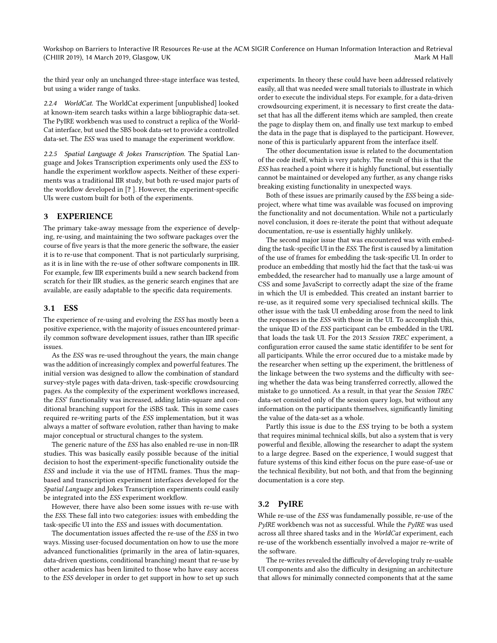Workshop on Barriers to Interactive IR Resources Re-use at the ACM SIGIR Conference on Human Information Interaction and Retrieval (CHIIR 2019), 14 March 2019, Glasgow, UK and the control of the control of the control of the control of the control of the control of the control of the control of the control of the control of the control of the control

the third year only an unchanged three-stage interface was tested, but using a wider range of tasks.

2.2.4 WorldCat. The WorldCat experiment [unpublished] looked at known-item search tasks within a large bibliographic data-set. The PyIRE workbench was used to construct a replica of the World-Cat interface, but used the SBS book data-set to provide a controlled data-set. The ESS was used to manage the experiment workflow.

2.2.5 Spatial Language & Jokes Transcription. The Spatial Language and Jokes Transcription experiments only used the ESS to handle the experiment workflow aspects. Neither of these experiments was a traditional IIR study, but both re-used major parts of the workflow developed in [? ]. However, the experiment-specific UIs were custom built for both of the experiments.

# 3 EXPERIENCE

The primary take-away message from the experience of develping, re-using, and maintaining the two software packages over the course of five years is that the more generic the software, the easier it is to re-use that component. That is not particularly surprising, as it is in line with the re-use of other software components in IIR. For example, few IIR experiments build a new search backend from scratch for their IIR studies, as the generic search engines that are available, are easily adaptable to the specific data requirements.

# 3.1 ESS

The experience of re-using and evolving the ESS has mostly been a positive experience, with the majority of issues encountered primarily common software development issues, rather than IIR specific issues.

As the ESS was re-used throughout the years, the main change was the addition of increasingly complex and powerful features. The initial version was designed to allow the combination of standard survey-style pages with data-driven, task-specific crowdsourcing pages. As the complexity of the experiment workflows increased, the ESS' functionality was increased, adding latin-square and conditional branching support for the iSBS task. This in some cases required re-writing parts of the ESS implementation, but it was always a matter of software evolution, rather than having to make major conceptual or structural changes to the system.

The generic nature of the ESS has also enabled re-use in non-IIR studies. This was basically easily possible because of the initial decision to host the experiment-specific functionality outside the ESS and include it via the use of HTML frames. Thus the mapbased and transcription experiment interfaces developed for the Spatial Language and Jokes Transcription experiments could easily be integrated into the ESS experiment workflow.

However, there have also been some issues with re-use with the ESS. These fall into two categories: issues with embedding the task-specific UI into the ESS and issues with documentation.

The documentation issues affected the re-use of the ESS in two ways. Missing user-focused documentation on how to use the more advanced functionalities (primarily in the area of latin-squares, data-driven questions, conditional branching) meant that re-use by other academics has been limited to those who have easy access to the ESS developer in order to get support in how to set up such

experiments. In theory these could have been addressed relatively easily, all that was needed were small tutorials to illustrate in which order to execute the individual steps. For example, for a data-driven crowdsourcing experiment, it is necessary to first create the dataset that has all the different items which are sampled, then create the page to display them on, and finally use text markup to embed the data in the page that is displayed to the participant. However, none of this is particularly apparent from the interface itself.

The other documentation issue is related to the documentation of the code itself, which is very patchy. The result of this is that the ESS has reached a point where it is highly functional, but essentially cannot be maintained or developed any further, as any change risks breaking existing functionality in unexpected ways.

Both of these issues are primarily caused by the ESS being a sideproject, where what time was available was focused on improving the functionality and not documentation. While not a particularly novel conclusion, it does re-iterate the point that without adequate documentation, re-use is essentially highly unlikely.

The second major issue that was encountered was with embedding the task-specific UI in the ESS. The first is caused by a limitation of the use of frames for embedding the task-specific UI. In order to produce an embedding that mostly hid the fact that the task-ui was embedded, the researcher had to manually use a large amount of CSS and some JavaScript to correctly adapt the size of the frame in which the UI is embedded. This created an instant barrier to re-use, as it required some very specialised technical skills. The other issue with the task UI embedding arose from the need to link the responses in the ESS with those in the UI. To accomplish this, the unique ID of the ESS participant can be embedded in the URL that loads the task UI. For the 2013 Session TREC experiment, a configuration error caused the same static identififer to be sent for all participants. While the error occured due to a mistake made by the researcher when setting up the experiment, the brittleness of the linkage between the two systems and the difficulty with seeing whether the data was being transferred correctly, allowed the mistake to go unnoticed. As a result, in that year the Session TREC data-set consisted only of the session query logs, but without any information on the participants themselves, significantly limiting the value of the data-set as a whole.

Partly this issue is due to the ESS trying to be both a system that requires minimal technical skills, but also a system that is very powerful and flexible, allowing the researcher to adapt the system to a large degree. Based on the experience, I would suggest that future systems of this kind either focus on the pure ease-of-use or the technical flexibility, but not both, and that from the beginning documentation is a core step.

# 3.2 PyIRE

While re-use of the ESS was fundamenally possible, re-use of the PyIRE workbench was not as successful. While the PyIRE was used across all three shared tasks and in the WorldCat experiment, each re-use of the workbench essentially involved a major re-write of the software.

The re-writes revealed the difficulty of developing truly re-usable UI components and also the difficulty in designing an architecture that allows for minimally connected components that at the same